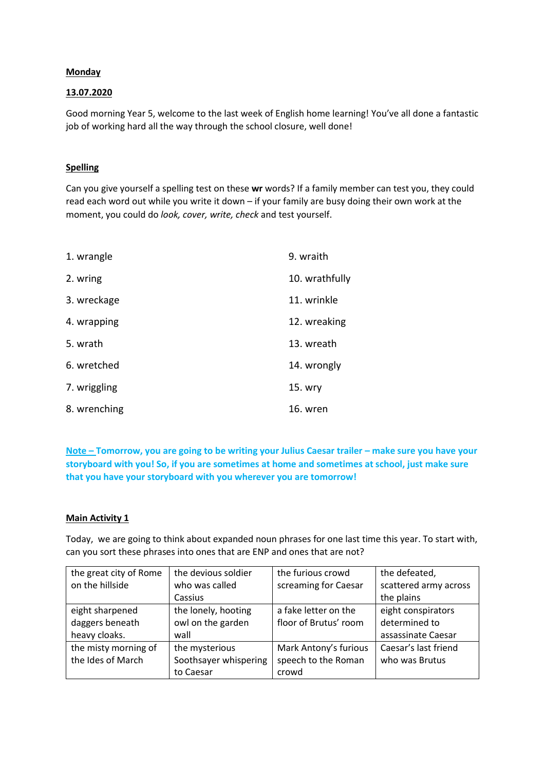## **Monday**

## 13.07.2020

Good morning Year 5, welcome to the last week of English home learning! You've all done a fantastic job of working hard all the way through the school closure, well done!

## Spelling

Can you give yourself a spelling test on these wr words? If a family member can test you, they could read each word out while you write it down – if your family are busy doing their own work at the moment, you could do *look, cover, write, check* and test yourself.

| 1. wrangle   | 9. wraith      |  |  |
|--------------|----------------|--|--|
| 2. wring     | 10. wrathfully |  |  |
| 3. wreckage  | 11. wrinkle    |  |  |
| 4. wrapping  | 12. wreaking   |  |  |
| 5. wrath     | 13. wreath     |  |  |
| 6. wretched  | 14. wrongly    |  |  |
| 7. wriggling | 15. wry        |  |  |
| 8. wrenching | 16. wren       |  |  |

Note – Tomorrow, you are going to be writing your Julius Caesar trailer – make sure you have your storyboard with you! So, if you are sometimes at home and sometimes at school, just make sure that you have your storyboard with you wherever you are tomorrow!

#### Main Activity 1

Today, we are going to think about expanded noun phrases for one last time this year. To start with, can you sort these phrases into ones that are ENP and ones that are not?

| the great city of Rome | the devious soldier   | the furious crowd     | the defeated,         |  |
|------------------------|-----------------------|-----------------------|-----------------------|--|
| on the hillside        | who was called        | screaming for Caesar  | scattered army across |  |
|                        | Cassius               |                       | the plains            |  |
| eight sharpened        | the lonely, hooting   | a fake letter on the  | eight conspirators    |  |
| daggers beneath        | owl on the garden     | floor of Brutus' room | determined to         |  |
| heavy cloaks.          | wall                  |                       | assassinate Caesar    |  |
| the misty morning of   | the mysterious        | Mark Antony's furious | Caesar's last friend  |  |
| the Ides of March      | Soothsayer whispering | speech to the Roman   | who was Brutus        |  |
|                        | to Caesar             | crowd                 |                       |  |